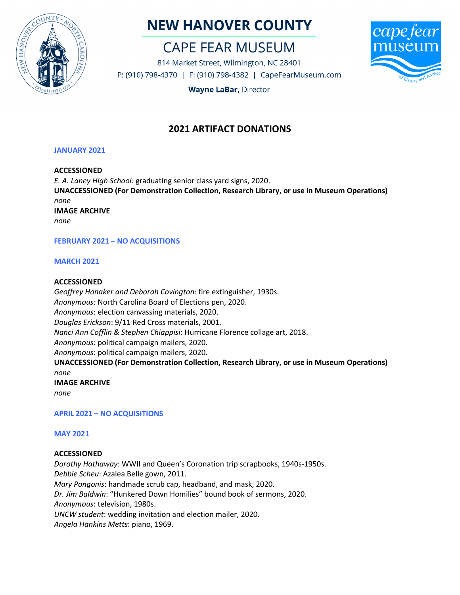

# **NEW HANOVER COUNTY**

# **CAPE FEAR MUSEUM**

814 Market Street, Wilmington, NC 28401 P: (910) 798-4370 | F: (910) 798-4382 | CapeFearMuseum.com



**Wayne LaBar, Director** 

# **2021 ARTIFACT DONATIONS**

# **JANUARY 2021**

# **ACCESSIONED**

*E. A. Laney High School:* graduating senior class yard signs, 2020. **UNACCESSIONED (For Demonstration Collection, Research Library, or use in Museum Operations)** *none* **IMAGE ARCHIVE** *none*

# **FEBRUARY 2021 – NO ACQUISITIONS**

### **MARCH 2021**

### **ACCESSIONED**

*Geoffrey Honaker and Deborah Covington*: fire extinguisher, 1930s. *Anonymous:* North Carolina Board of Elections pen, 2020. *Anonymous*: election canvassing materials, 2020. *Douglas Erickson*: 9/11 Red Cross materials, 2001. *Nanci Ann Cofflin & Stephen Chiappisi*: Hurricane Florence collage art, 2018. *Anonymous*: political campaign mailers, 2020. *Anonymous*: political campaign mailers, 2020. **UNACCESSIONED (For Demonstration Collection, Research Library, or use in Museum Operations)** *none* **IMAGE ARCHIVE** *none*

**APRIL 2021 – NO ACQUISITIONS**

# **MAY 2021**

#### **ACCESSIONED**

*Dorothy Hathaway*: WWII and Queen's Coronation trip scrapbooks, 1940s-1950s. *Debbie Scheu*: Azalea Belle gown, 2011. *Mary Pongonis*: handmade scrub cap, headband, and mask, 2020. *Dr. Jim Baldwin*: "Hunkered Down Homilies" bound book of sermons, 2020. *Anonymous*: television, 1980s. *UNCW student*: wedding invitation and election mailer, 2020. *Angela Hankins Metts*: piano, 1969.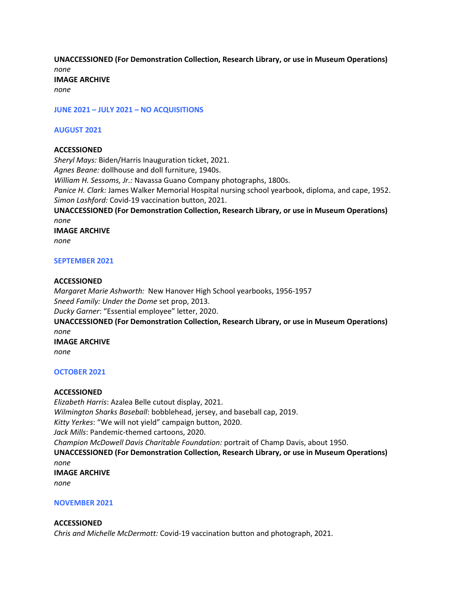**UNACCESSIONED (For Demonstration Collection, Research Library, or use in Museum Operations)** *none* **IMAGE ARCHIVE**

*none*

**JUNE 2021 – JULY 2021 – NO ACQUISITIONS**

#### **AUGUST 2021**

#### **ACCESSIONED**

*Sheryl Mays:* Biden/Harris Inauguration ticket, 2021. *Agnes Beane:* dollhouse and doll furniture, 1940s. *William H. Sessoms, Jr.:* Navassa Guano Company photographs, 1800s. *Panice H. Clark:* James Walker Memorial Hospital nursing school yearbook, diploma, and cape, 1952. *Simon Lashford:* Covid-19 vaccination button, 2021. **UNACCESSIONED (For Demonstration Collection, Research Library, or use in Museum Operations)** *none* **IMAGE ARCHIVE** *none*

#### **SEPTEMBER 2021**

#### **ACCESSIONED**

*Margaret Marie Ashworth:* New Hanover High School yearbooks, 1956-1957 *Sneed Family: Under the Dome* set prop, 2013. *Ducky Garner*: "Essential employee" letter, 2020. **UNACCESSIONED (For Demonstration Collection, Research Library, or use in Museum Operations)** *none* **IMAGE ARCHIVE** *none*

#### **OCTOBER 2021**

#### **ACCESSIONED**

*Elizabeth Harris*: Azalea Belle cutout display, 2021. *Wilmington Sharks Baseball*: bobblehead, jersey, and baseball cap, 2019. *Kitty Yerkes*: "We will not yield" campaign button, 2020. *Jack Mills*: Pandemic-themed cartoons, 2020. *Champion McDowell Davis Charitable Foundation:* portrait of Champ Davis, about 1950. **UNACCESSIONED (For Demonstration Collection, Research Library, or use in Museum Operations)** *none* **IMAGE ARCHIVE** *none*

#### **NOVEMBER 2021**

#### **ACCESSIONED**

*Chris and Michelle McDermott:* Covid-19 vaccination button and photograph, 2021.